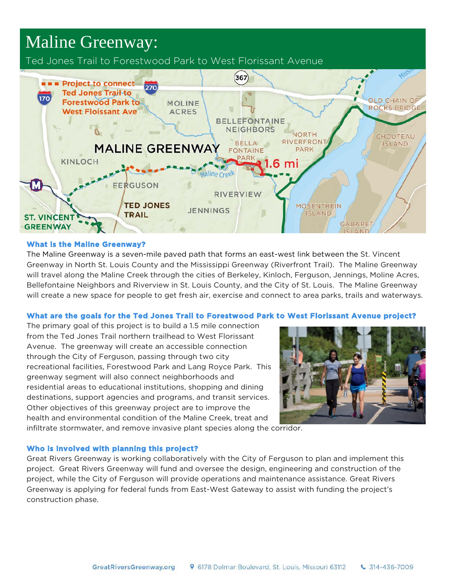# Maline Greenway:

Ted Jones Trail to Forestwood Park to West Florissant Avenue



# **What is the Maline Greenway?**

The Maline Greenway is a seven-mile paved path that forms an east-west link between the St. Vincent Greenway in North St. Louis County and the Mississippi Greenway (Riverfront Trail). The Maline Greenway will travel along the Maline Creek through the cities of Berkeley, Kinloch, Ferguson, Jennings, Moline Acres, Bellefontaine Neighbors and Riverview in St. Louis County, and the City of St. Louis. The Maline Greenway will create a new space for people to get fresh air, exercise and connect to area parks, trails and waterways.

# **What are the goals for the Ted Jones Trail to Forestwood Park to West Florissant Avenue project?**

The primary goal of this project is to build a 1.5 mile connection from the Ted Jones Trail northern trailhead to West Florissant Avenue. The greenway will create an accessible connection through the City of Ferguson, passing through two city recreational facilities, Forestwood Park and Lang Royce Park. This greenway segment will also connect neighborhoods and residential areas to educational institutions, shopping and dining destinations, support agencies and programs, and transit services. Other objectives of this greenway project are to improve the health and environmental condition of the Maline Creek, treat and



infiltrate stormwater, and remove invasive plant species along the corridor.

# **Who is involved with planning this project?**

Great Rivers Greenway is working collaboratively with the City of Ferguson to plan and implement this project. Great Rivers Greenway will fund and oversee the design, engineering and construction of the project, while the City of Ferguson will provide operations and maintenance assistance. Great Rivers Greenway is applying for federal funds from East-West Gateway to assist with funding the project's construction phase.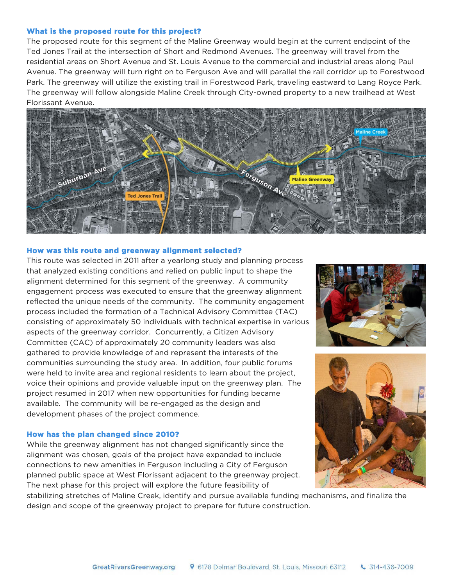## **What is the proposed route for this project?**

The proposed route for this segment of the Maline Greenway would begin at the current endpoint of the Ted Jones Trail at the intersection of Short and Redmond Avenues. The greenway will travel from the residential areas on Short Avenue and St. Louis Avenue to the commercial and industrial areas along Paul Avenue. The greenway will turn right on to Ferguson Ave and will parallel the rail corridor up to Forestwood Park. The greenway will utilize the existing trail in Forestwood Park, traveling eastward to Lang Royce Park. The greenway will follow alongside Maline Creek through City-owned property to a new trailhead at West Florissant Avenue.



## **How was this route and greenway alignment selected?**

This route was selected in 2011 after a yearlong study and planning process that analyzed existing conditions and relied on public input to shape the alignment determined for this segment of the greenway. A community engagement process was executed to ensure that the greenway alignment reflected the unique needs of the community. The community engagement process included the formation of a Technical Advisory Committee (TAC) consisting of approximately 50 individuals with technical expertise in various aspects of the greenway corridor. Concurrently, a Citizen Advisory Committee (CAC) of approximately 20 community leaders was also gathered to provide knowledge of and represent the interests of the communities surrounding the study area. In addition, four public forums were held to invite area and regional residents to learn about the project, voice their opinions and provide valuable input on the greenway plan. The project resumed in 2017 when new opportunities for funding became available. The community will be re-engaged as the design and development phases of the project commence.

#### **How has the plan changed since 2010?**

While the greenway alignment has not changed significantly since the alignment was chosen, goals of the project have expanded to include connections to new amenities in Ferguson including a City of Ferguson planned public space at West Florissant adjacent to the greenway project. The next phase for this project will explore the future feasibility of





stabilizing stretches of Maline Creek, identify and pursue available funding mechanisms, and finalize the design and scope of the greenway project to prepare for future construction.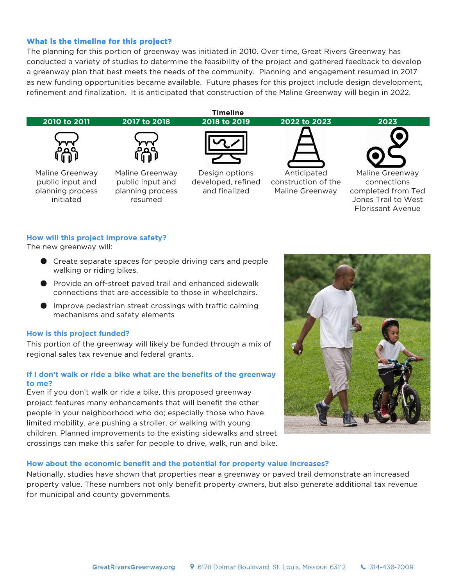## **What is the timeline for this project?**

The planning for this portion of greenway was initiated in 2010. Over time, Great Rivers Greenway has conducted a variety of studies to determine the feasibility of the project and gathered feedback to develop a greenway plan that best meets the needs of the community. Planning and engagement resumed in 2017 as new funding opportunities became available. Future phases for this project include design development, refinement and finalization. It is anticipated that construction of the Maline Greenway will begin in 2022.



## **How will this project improve safety?**

The new greenway will:

- Create separate spaces for people driving cars and people walking or riding bikes.
- Provide an off-street paved trail and enhanced sidewalk connections that are accessible to those in wheelchairs.
- Improve pedestrian street crossings with traffic calming mechanisms and safety elements

#### **How is this project funded?**

This portion of the greenway will likely be funded through a mix of regional sales tax revenue and federal grants.

## **If I don't walk or ride a bike what are the benefits of the greenway to me?**

Even if you don't walk or ride a bike, this proposed greenway project features many enhancements that will benefit the other people in your neighborhood who do; especially those who have limited mobility, are pushing a stroller, or walking with young children. Planned improvements to the existing sidewalks and street crossings can make this safer for people to drive, walk, run and bike.



## **How about the economic benefit and the potential for property value increases?**

Nationally, studies have shown that properties near a greenway or paved trail demonstrate an increased property value. These numbers not only benefit property owners, but also generate additional tax revenue for municipal and county governments.